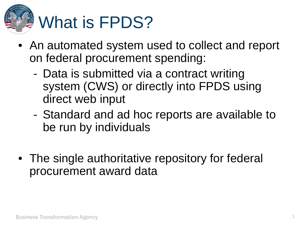

- An automated system used to collect and report on federal procurement spending:
	- Data is submitted via a contract writing system (CWS) or directly into FPDS using direct web input
	- Standard and ad hoc reports are available to be run by individuals
- The single authoritative repository for federal procurement award data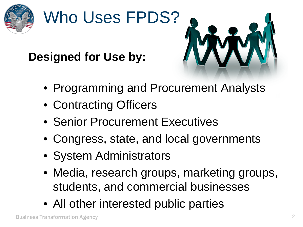

# Who Uses FPDS?





- Programming and Procurement Analysts
- Contracting Officers
- Senior Procurement Executives
- Congress, state, and local governments
- System Administrators
- Media, research groups, marketing groups, students, and commercial businesses
- All other interested public parties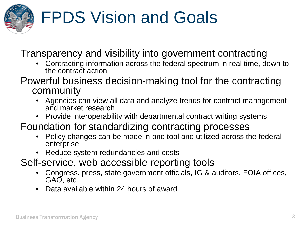

## FPDS Vision and Goals

Transparency and visibility into government contracting

- Contracting information across the federal spectrum in real time, down to the contract action
- Powerful business decision-making tool for the contracting community
	- Agencies can view all data and analyze trends for contract management and market research
	- Provide interoperability with departmental contract writing systems
- Foundation for standardizing contracting processes
	- Policy changes can be made in one tool and utilized across the federal enterprise
	- Reduce system redundancies and costs
- Self-service, web accessible reporting tools
	- Congress, press, state government officials, IG & auditors, FOIA offices, GAO, etc.
	- Data available within 24 hours of award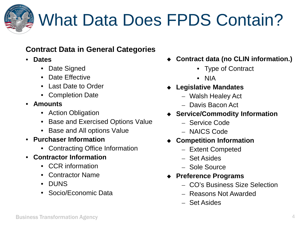

#### What Data Does FPDS Contain?

#### **Contract Data in General Categories**

- **Dates**
	- Date Signed
	- Date Effective
	- Last Date to Order
	- Completion Date
- **Amounts**
	- Action Obligation
	- Base and Exercised Options Value
	- Base and All options Value
- **Purchaser Information**
	- Contracting Office Information
- **Contractor Information**
	- CCR information
	- Contractor Name
	- DUNS
	- Socio/Economic Data
- **Contract data (no CLIN information.)**
	- Type of Contract
	- NIA
- **Legislative Mandates**
	- Walsh Healey Act
	- Davis Bacon Act
- **Service/Commodity Information**
	- Service Code
	- NAICS Code
- **Competition Information**
	- Extent Competed
	- Set Asides
	- Sole Source
- **Preference Programs**
	- CO's Business Size Selection
	- Reasons Not Awarded
	- Set Asides